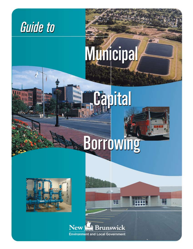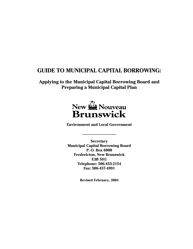# **GUIDE TO MUNICIPAL CAPITAL BORROWING:**

**Applying to the Municipal Capital Borrowing Board and Preparing a Municipal Capital Plan** 



**Environment and Local Government** 

**\_\_\_\_\_\_\_\_\_\_\_\_\_\_\_\_\_\_** 

**Secretary Municipal Capital Borrowing Board P. O. Box 6000 Fredericton, New Brunswick E3B 5H1 Telephone: 506-453-2154 Fax: 506-457-4991** 

**Revised February, 2004**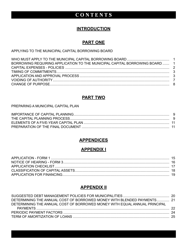# CONTENTS

### **INTRODUCTION**

### **PART ONE**

APPLYING TO THE MUNICIPAL CAPITAL BORROWING BOARD

| BORROWING REQUIRING APPLICATION TO THE MUNICIPAL CAPITAL BORROWING BOARD  1 |  |
|-----------------------------------------------------------------------------|--|
|                                                                             |  |
|                                                                             |  |
|                                                                             |  |
|                                                                             |  |
|                                                                             |  |

### **PART TWO**

PREPARING A MUNICIPAL CAPITAL PLAN

### **APPENDICES**

### **APPENDIX I**

## **APPENDIX II**

| DETERMINING THE ANNUAL COST OF BORROWED MONEY WITH BLENDED PAYMENTS 21 |
|------------------------------------------------------------------------|
|                                                                        |
|                                                                        |
|                                                                        |
|                                                                        |
|                                                                        |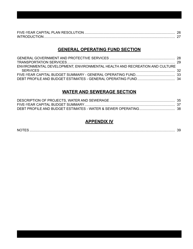### **GENERAL OPERATING FUND SECTION**

| ENVIRONMENTAL DEVELOPMENT. ENVIRONMENTAL HEALTH AND RECREATION AND CULTURE |  |
|----------------------------------------------------------------------------|--|
|                                                                            |  |
|                                                                            |  |
|                                                                            |  |

### **WATER AND SEWERAGE SECTION**

# **APPENDIX IV**

| Νſ |
|----|
|----|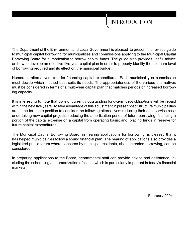The Department of the Environment and Local Government is pleased to present the revised guide to municipal capital borrowing for municipalities and commissions applying to the Municipal Capital Borrowing Board for authorization to borrow capital funds. The guide also provides useful advice on how to develop an effective five-year capital plan in order to properly identify the optimum level of borrowing required and its effect on the municipal budget.

Numerous alternatives exist for financing capital expenditures. Each municipality or commission must decide which method best suits its needs. The appropriateness of the various alternatives must be considered in terms of a multi-year capital plan that matches periods of increased borrowing capacity.

It is interesting to note that 65% of currently outstanding long-term debt obligations will be repaid within the next five years. To take advantage of this adjustment in present debt structure municipalities are in the fortunate position to consider the following alternatives: reducing their debt service cost; undertaking new capital projects; reducing the amortization period of future borrowing; financing a portion of the capital expense on a capital from operating basis; and, placing funds in reserve for future capital expenditures.

The Municipal Capital Borrowing Board, in hearing applications for borrowing, is pleased that it has helped municipalities follow a sound financial plan. The hearing of applications also provides a legislated public forum where concerns by municipal residents, about intended borrowing, can be considered.

In preparing applications to the Board, departmental staff can provide advice and assistance, including the scheduling and amortization of loans, which is particularly important in today's financial markets.

February 2004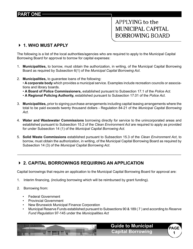# **PART ONE**

**APPLYING to the** MUNICIPAL CAPITAL **BORROWING BOARD** 

# 4 **1. WHO MUST APPLY**

The following is a list of the local authorities/agencies who are required to apply to the Municipal Capital Borrowing Board for approval to borrow for capital expenses:

- 1. **Municipalities,** to borrow, must obtain the authorization, in writing, of the Municipal Capital Borrowing Board as required by Subsection 6(1) of the *Municipal Capital Borrowing Act*.
- 2. **Municipalities,** to guarantee loans of the following: • **A corporate body** which provides a municipal service. Examples include recreation councils or associations and library boards.
	- **A Board of Police Commissioners,** established pursuant to Subsection 17.1 of the *Police Act.*
	- **A Regional Policing Authority,** established pursuant to Subsection 17.01 of the *Police Act*.
- 3. **Municipalities,** prior to signing purchase arrangements including capital leasing arrangements where the total to be paid exceeds twenty thousand dollars - Regulation 84-21 of the *Municipal Capital Borrowing Act*.
- 4. **Water and Wastewater Commissions** borrowing directly for service to the unincorporated areas and established pursuant to Subsection 15.2 of the *Clean Environment Act* are required to apply as provided for under Subsection 14 (1) of the *Municipal Capital Borrowing Act*.
- 5. **Solid Waste Commissions** established pursuant to Subsection 15.3 of the *Clean Environment Act*, to borrow, must obtain the authorization, in writing, of the Municipal Capital Borrowing Board as required by Subsection 14 (3) of the *Municipal Capital Borrowing Act*.

 $\_$  , and the set of the set of the set of the set of the set of the set of the set of the set of the set of the set of the set of the set of the set of the set of the set of the set of the set of the set of the set of th

### 4 **2. CAPITAL BORROWINGS REQUIRING AN APPLICATION**

Capital borrowings that require an application to the Municipal Capital Borrowing Board for approval are:

- 1. Interim financing, (including borrowing which will be reimbursed by grant funding).
- 2. Borrowing from:
	- Federal Government
	- Provincial Government
	- New Brunswick Municipal Finance Corporation
	- Municipal Reserve Funds established pursuant to Subsections 90 & 189 ( 7 ) and according to *Reserve Fund Regulation* 97-145 under the *Municipalities Act*

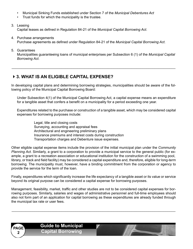- Municipal Sinking Funds established under Section 7 of the *Municipal Debentures Act*
- Trust funds for which the municipality is the trustee.
- 3. Leasing Capital leases as defined in Regulation 84-21 of the *Municipal Capital Borrowing Act*.
- 4. Purchase arrangements Purchase agreements as defined under Regulation 84-21 of the *Municipal Capital Borrowing Act*.
- 5. Guarantees Municipalities guaranteeing loans of municipal enterprises per Subsection 6 (1) of the *Municipal Capital Borrowing Act*.

 $\_$  , and the set of the set of the set of the set of the set of the set of the set of the set of the set of the set of the set of the set of the set of the set of the set of the set of the set of the set of the set of th

# 4**3. WHAT IS AN ELIGIBLE CAPITAL EXPENSE?**

In developing capital plans and determining borrowing strategies, municipalities should be aware of the following policy of the Municipal Capital Borrowing Board:

Under Subsection 4(1) of the Municipal Capital Borrowing Act, a capital expense means an expenditure for a tangible asset that confers a benefit on a municipality for a period exceeding one year.

Expenditures related to the purchase or construction of a tangible asset, which may be considered capital expenses for borrowing purposes include:

> Legal, title and closing costs Surveying, accounting and appraisal fees Architectural and engineering preliminary plans Insurance premiums and interest costs during construction Transportation charges and Debenture issue expenses.

Other eligible capital expense items include the provision of the initial municipal plan under the *Community Planning Act*. Similarly, a grant to a corporation to provide a municipal service to the general public (for example, a grant to a recreation association or educational institution for the construction of a swimming pool, library, or track and field facility) may be considered a capital expenditure and, therefore, eligible for long-term borrowing. The municipality must, however, have a binding commitment from the corporation or agency to provide the service for the term of the loan.

Finally, expenditures which significantly increase the life expectancy of a tangible asset or its value or service beyond its original purpose can be considered a capital expense for borrowing purposes.

Management, feasibility, market, traffic and other studies are not to be considered capital expenses for borrowing purposes. Similarly, salaries and wages of administrative personnel and full-time employees should also not form part of an application for capital borrowing as these expenditures are already funded through the municipal tax rate or user fees.

 $\_$  , and the set of the set of the set of the set of the set of the set of the set of the set of the set of the set of the set of the set of the set of the set of the set of the set of the set of the set of the set of th

 $\mathbf{2}$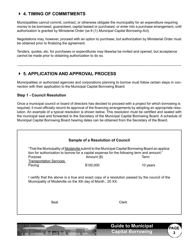# 4 **4. TIMING OF COMMITMENTS**

Municipalities cannot commit, contract, or otherwise obligate the municipality for an expenditure requiring money to be borrowed, guaranteed, capital leased or purchased, or enter into a purchase arrangement, until authorization is granted by Ministerial Order (ss 6 (1) *Municipal Capital Borrowing Act*).

Negotiations may, however, proceed with an option to purchase, but authorization by Ministerial Order must be obtained prior to finalizing the agreement.

Tenders, quotes, etc. for purchases or expenditures may likewise be invited and opened, but acceptance cannot be made prior to obtaining authorization to do so.

 $\_$  , and the set of the set of the set of the set of the set of the set of the set of the set of the set of the set of the set of the set of the set of the set of the set of the set of the set of the set of the set of th

### 4 **5. APPLICATION AND APPROVAL PROCESS**

Municipalities or authorized agencies and corporations planning to borrow must follow certain steps in connection with their application to the Municipal Capital Borrowing Board:

### **Step 1 - Council Resolution**

Once a municipal council or board of directors has decided to proceed with a project for which borrowing is required, it must officially record its approval of the financing arrangements by adopting an appropriate resolution. An example of a typical resolution is shown below. This resolution must be certified and sealed with the municipal seal and forwarded to the Secretary of the Municipal Capital Borrowing Board. A schedule of Municipal Capital Borrowing Board hearing dates can be obtained from the Secretary of the Board.

|                                                                                                                                                              | <b>Sample of a Resolution of Council</b>                                                                                                                                                                             |          |  |  |
|--------------------------------------------------------------------------------------------------------------------------------------------------------------|----------------------------------------------------------------------------------------------------------------------------------------------------------------------------------------------------------------------|----------|--|--|
| Purpose                                                                                                                                                      | "That the Municipality of <u>Modelville</u> submit to the Municipal Capital Borrowing Board an applica-<br>tion for authorization to borrow for a capital expense for the following term and amount:"<br>Amount (\$) | Term     |  |  |
| <b>Transportation Services</b><br>Paving                                                                                                                     | \$100,000                                                                                                                                                                                                            | 10 years |  |  |
| I certify that the above is a true and exact copy of a resolution passed by the council of the<br>Municipality of Modelville on the Xth day of Month, 20 XX. |                                                                                                                                                                                                                      |          |  |  |
| Seal                                                                                                                                                         |                                                                                                                                                                                                                      | Clerk    |  |  |
|                                                                                                                                                              |                                                                                                                                                                                                                      |          |  |  |

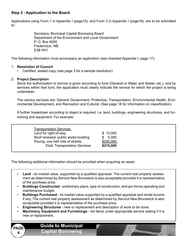### **Step 2 - Application to the Board**

Applications using Form 1 in Appendix I (page15), and Form 3 in Appendix I (page16), are to be submitted to:

> Secretary, Municipal Capital Borrowing Board Department of the Environment and Local Government P. O. Box 6000 Fredericton, NB E3B 5H1

The following information must accompany an application (see checklist Appendix I, page 17):

#### 1. **Resolution of Council**

Certified, sealed copy (see page 3 for a sample resolution).

#### 2. **Project Description**

Since the authorization to borrow is given according to fund (General or Water and Sewer, etc.), and by services within that fund, the application must clearly indicate the service for which the project is being undertaken.

The various services are: General Government, Protective, Transportation, Environmental Health, Environmental Development, and Recreation and Cultural. (See page 18 for information on classification).

A further breakdown according to object is required, i.e. land, buildings, engineering structures, and furnishing and equipment. For example:

| Land for right-of-way                 | \$10,000     |
|---------------------------------------|--------------|
| Roof renewed, public works building   | 5,000<br>SS. |
| Paving, one half mile of streets      | \$200,000    |
| <b>Total: Transportation Services</b> | \$215,000    |

The following additional information should be provided when acquiring an asset:

- **Land** its market value, supported by a qualified appraisal. The current real property assessment as determined by Service New Brunswick is also acceptable provided it is representative of the purchase price.
- **Buildings Constructed**  preliminary plans, type of construction, and pro forma operating and maintenance budget.
- **Buildings Purchased**  its market value supported by a qualified appraisal and rental income if any. The current real property assessment as determined by Service New Brunswick is also acceptable provided it is representative of the purchase price.
- **Engineering Structures**  new or replacement and description of work to be done.
- **Machinery, Equipment and Furnishings**  list items under appropriate service stating if it is new or replacement.

#### **PAGE Guide to Municipal Capital Borrowing** 4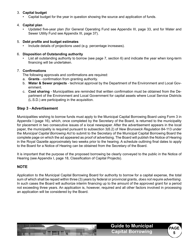### 3. **Capital budget**

• Capital budget for the year in question showing the source and application of funds.

### 4. **Capital plan**

Updated five-year plan (for General Operating Fund see Appendix III, page 33, and for Water and Sewer Utility Fund see Appendix III, page 37).

#### 5.  **Debt profile and budget estimates**

• Include details of projections used (e.g. percentage increases).

#### 6. **Disposition of Outstanding authority**

• List all outstanding authority to borrow (see page 7, section 6) and indicate the year when long-term financing will be undertaken.

#### 7.  **Confirmations**

 The following approvals and confirmations are required:

- a. **Grants**  confirmation from granting authority.
- b. **Water & Sewer projects**  technical approval by the Department of the Environment and Local Government.
- c. **Cost sharing**  Municipalities are reminded that written confirmation must be obtained from the Department of the Environment and Local Government for capital assets where Local Service Districts (L.S.D.) are participating in the acquisition.

### **Step 3 - Advertisement**

Municipalities wishing to borrow funds must apply to the Municipal Capital Borrowing Board using Form 3 in Appendix I (page 16), which, once completed by the Secretary of the Board, is returned to the municipality for placement in two consecutive issues of a local newspaper. After the advertisement appears in the local paper, the municipality is required pursuant to subsection 3(6.2) of *New Brunswick Regulation* 84-113 under the *Municipal Capital Borrowing Act* to submit to the Secretary of the Municipal Capital Borrowing Board the complete page on which the ad appeared as proof of advertising. The Board will publish the Notice of Hearing in the Royal Gazette approximately two weeks prior to the hearing. A schedule outlining final dates to apply to the Board for a Notice of Hearing can be obtained from the Secretary of the Board.

It is important that the purpose of the proposed borrowing be clearly conveyed to the public in the Notice of Hearing (see Appendix I, page 18, Classification of Capital Projects).

### **NOTE**

Application to the Municipal Capital Borrowing Board for authority to borrow for a capital expense, the total sum of which shall be repaid within three (3) years by federal or provincial grants, *does not require advertising*. In such cases the Board will authorize interim financing up to the amount of the approved grant for a period not exceeding three years. An application is, however, required and all other factors involved in processing an application will be considered by the Board.

**PAGE PAGE** 

5

**Capital Borrowing**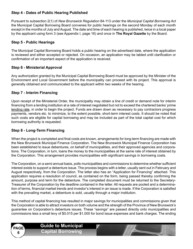### **Step 4 - Dates of Public Hearing Published**

Pursuant to subsection 2(1) of *New Brunswick Regulation* 84-113 under the *Municipal Capital Borrowing Act*  the Municipal Capital Borrowing Board convenes for public hearings on the second Monday of each month except in the months of July and August. The date and time of each hearing is published, twice in a local paper by the applicant using form 3 (see Appendix I, page 16) and once in **The Royal Gazette** by the Board.

### **Step 5 - Public Hearings**

The Municipal Capital Borrowing Board holds a public hearing on the advertised date, where the application is reviewed and either accepted or rejected. On occasion, an application may be tabled until clarification or confirmation of an important aspect of the application is received.

### **Step 6 - Ministerial Approval**

Any authorization granted by the Municipal Capital Borrowing Board must be approved by the Minister of the Environment and Local Government before the municipality can proceed with its project. This approval is generally obtained and communicated to the applicant within two weeks of the hearing.

### **Step 7 - Interim Financing**

Upon receipt of the Ministerial Order, the municipality may obtain a line of credit or demand note for interim financing from a lending institution at a rate of interest negotiated but not to exceed the chartered banks' prime lending rate, in order to begin the project. Funds are drawn down as necessary to pay contractors progress payments, vendors etc. to minimize, to the extent possible, short-term interest costs. It should be noted that such costs are eligible for capital borrowing and may be included as part of the total capital cost for which borrowing authority is requested.

### **Step 8 - Long-Term Financing**

When the project is completed and final costs are known, arrangements for long-term financing are made with the New Brunswick Municipal Finance Corporation. The New Brunswick Municipal Finance Corporation has been established to issue debentures, on behalf of municipalities, and their approved agencies and corporations. The Corporation, in turn, loans the money to the municipalities at the same rate of interest obtained by the Corporation. This arrangement provides municipalities with significant savings in borrowing costs.

The Corporation, on a semi-annual basis, polls municipalities and commissions to determine whether sufficient interest exists to support a debenture issue. The process begins with a letter, usually sent out in February and August respectively, from the Corporation. The letter also has an "Application for Financing" attached. This application requires a resolution of council, as contained on the form, being passed thereby confirming the amount, purpose and term for the debenture. The completed document must be returned to the Secretary-Treasurer of the Corporation by the deadline contained in the letter. All requests are pooled and a determination of terms, financial market trends and investor's interest in an issue is made. If the Corporation is satisfied with the prevailing market, a debenture is sold, usually through a major institution.

This method of capital financing has resulted in major savings for municipalities and commissions given that the Corporation is able to attract investors on both volume and the strength of the Province of New Brunswick's guarantee on Corporation's debenture issues. These "savings" are passed directly onto municipalities and commissions less a small levy of \$0.015 per \$1,000 for bond issue expenses and bank charges. The ending

### **Guide to Municipal Capital Borrowing**

**PAGE** 6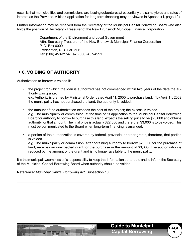result is that municipalities and commissions are issuing debentures at essentially the same yields and rates of interest as the Province. A blank application for long term financing may be viewed in Appendix I, page 19).

Further information may be received from the Secretary of the Municipal Capital Borrowing Board who also holds the position of Secretary - Treasurer of the New Brunswick Municipal Finance Corporation.

> Department of the Environment and Local Government Attn. Secretary-Treasurer of the New Brunswick Municipal Finance Corporation P. O. Box 6000 Fredericton, N.B. E3B 5H1 Tel: (506) 453-2154 Fax: (506) 457-4991

 $\_$  , and the set of the set of the set of the set of the set of the set of the set of the set of the set of the set of the set of the set of the set of the set of the set of the set of the set of the set of the set of th

### 4**6. VOIDING OF AUTHORITY**

Authorization to borrow is voided if:

• the project for which the loan is authorized has not commenced within two years of the date the authority was granted.

 e.g. Authority is granted by Ministerial Order dated April 11, 2000 to purchase land. If by April 11, 2002 the municipality has not purchased the land, the authority is voided.

- the amount of the authorization exceeds the cost of the project; the excess is voided. e.g. The municipality or commission, at the time of its application to the Municipal Capital Borrowing Board for authority to borrow to purchase this land, expects the selling price to be \$25,000 and obtains authority for that amount. The final price is actually \$22,000 and therefore, \$3,000 is to be voided. This must be communicated to the Board when long-term financing is arranged.
- a portion of the authorization is covered by federal, provincial or other grants, therefore, that portion is voided.

 e.g. The municipality or commission, after obtaining authority to borrow \$25,000 for the purchase of land, receives an unexpected grant for the purchase in the amount of \$3,000. The authorization is reduced by the amount of the grant and is no longer available to the municipality.

It is the municipality/commission's responsibility to keep this information up-to-date and to inform the Secretary of the Municipal Capital Borrowing Board when authority should be voided.

 $\_$  , and the set of the set of the set of the set of the set of the set of the set of the set of the set of the set of the set of the set of the set of the set of the set of the set of the set of the set of the set of th

**Reference:** *Municipal Capital Borrowing Act*, Subsection 10.

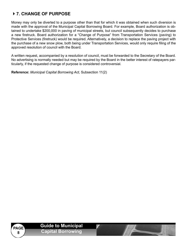# 4**7. CHANGE OF PURPOSE**

Money may only be diverted to a purpose other than that for which it was obtained when such diversion is made with the approval of the Municipal Capital Borrowing Board. For example, Board authorization is obtained to undertake \$200,000 in paving of municipal streets, but council subsequently decides to purchase a new firetruck. Board authorization for a "Change of Purpose" from Transportation Services (paving) to Protective Services (firetruck) would be required. Alternatively, a decision to replace the paving project with the purchase of a new snow plow, both being under Transportation Services, would only require filing of the approved resolution of council with the Board.

A written request, accompanied by a resolution of council, must be forwarded to the Secretary of the Board. No advertising is normally needed but may be required by the Board in the better interest of ratepayers particularly, if the requested change of purpose is considered controversial.

**Reference:** *Municipal Capital Borrowing Act*, Subsection 11(2)

#### **PAGE Guide to Municipal Capital Borrowing** 8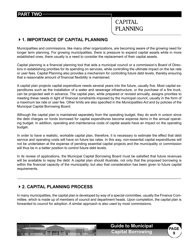**CAPITAL PLANNING** 

### 4**1. IMPORTANCE OF CAPITAL PLANNING**

Municipalities and commissions, like many other organizations, are becoming aware of the growing need for longer term planning. For growing municipalities, there is pressure to expand capital assets while in more established ones, there usually is a need to consider the replacement of their capital assets.

Capital planning is a financial planning tool that aids a municipal council or a commission's Board of Directors in establishing priorities for its spending on services, while controlling the ultimate impact on the tax rate or user fees. Capital Planning also provides a mechanism for controlling future debt levels, thereby ensuring that a reasonable amount of financial flexibility is maintained.

A capital plan projects capital expenditure needs several years into the future, usually five. Most capital expenditures such as the installation of a water and sewerage infrastructure, or the purchase of a fire truck, can be projected well in advance. The capital plan, while prepared or revised annually, assigns priorities to meeting these needs in light of financial constraints imposed by the municipal council, usually in the form of a maximum tax rate or user fee. Other limits are also specified in the *Municipalities Act* and by policies of the Municipal Capital Borrowing Board.

Although the capital plan is maintained separately from the operating budget, they do work in unison since the debt charges on funds borrowed for capital expenditures become expense items in the annual operating budget. In addition, operating and maintenance costs of capital assets have an impact on the operating budget.

In order to have a realistic, workable capital plan, therefore, it is necessary to estimate the effect that debt service and operating costs will have on future tax rates. In this way, non-essential capital expenditures will not be undertaken at the expense of pending essential capital projects and the municipality or commission will thus be in a better position to control future debt levels.

In its review of applications, the Municipal Capital Borrowing Board must be satisfied that future revenues will be available to repay the debt. A capital plan should illustrate, not only that the proposed borrowing is within the financial capacity of the municipality, but also that consideration has been given to future capital requirements.

 $\_$  , and the set of the set of the set of the set of the set of the set of the set of the set of the set of the set of the set of the set of the set of the set of the set of the set of the set of the set of the set of th

# 4**2. CAPITAL PLANNING PROCESS**

In many municipalities, the capital plan is developed by way of a special committee, usually the Finance Committee, which is made up of members of council and department heads. Upon completion, the capital plan is forwarded to council for adoption. A similar approach is also used by most commissions.

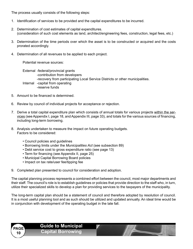The process usually consists of the following steps:

- 1. Identification of services to be provided and the capital expenditures to be incurred.
- 2. Determination of cost estimates of capital expenditures. (consideration of such cost elements as land, architect/engineering fees, construction, legal fees, etc.)
- 3. Determination of the time periods over which the asset is to be constructed or acquired and the costs prorated accordingly.
- 4. Determination of all revenues to be applied to each project.

Potential revenue sources:

External -federal/provincial grants -contribution from developers -recovery from participating Local Service Districts or other municipalities. Internal -capital from operating -reserve funds

- 5. Amount to be financed is determined.
- 6. Review by council of individual projects for acceptance or rejection.
- 7. Derive a total capital expenditure plan which consists of annual totals for various projects within the services (see Appendix I, page 18, and Appendix III, page 33), and totals for the various sources of financing, including long-term borrowing.
- 8. Analysis undertaken to measure the impact on future operating budgets. Factors to be considered:
	- Council policies and guidelines
	- Borrowing limits under the *Municipalities Act* (see subsection 89)
	- Debt service cost to gross expenditure ratio (see page 13)
	- Term for financing (see Appendix II, page 25)
	- Municipal Capital Borrowing Board policies
	- Impact on tax rate/user fee/tipping fee
- 9. Completed plan presented to council for consideration and adoption.

The capital planning process represents a combined effort between the council, most major departments and their staff. The council's role is to establish guidelines or policies that provide direction to the staff who, in turn, utilize their specialized skills to develop a plan for providing services to the taxpayers of the municipality.

The long-term capital plan should be a statement of council and therefore adopted by resolution of council. It is a most useful planning tool and as such should be utilized and updated annually. An ideal time would be in conjunction with development of the operating budget in the late fall.

**10**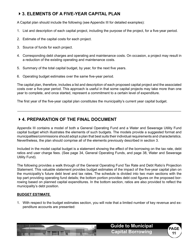# 4**3. ELEMENTS OF A FIVE-YEAR CAPITAL PLAN**

A Capital plan should include the following (see Appendix III for detailed examples):

- 1. List and description of each capital project, including the purpose of the project, for a five-year period.
- 2. Estimate of the capital costs for each project.
- 3. Source of funds for each project.
- 4. Corresponding debt charges and operating and maintenance costs. On occasion, a project may result in a reduction of the existing operating and maintenance costs.
- 5. Summary of the total capital budget, by year, for the next five years.
- 6. Operating budget estimates over the same five-year period.

The capital plan, therefore, includes a list and description of each proposed capital project and the associated costs over a five-year period. This approach is useful in that some capital projects may take more than one year to complete, and once started, represent a commitment to a certain level of expenditure.

 $\_$  , and the set of the set of the set of the set of the set of the set of the set of the set of the set of the set of the set of the set of the set of the set of the set of the set of the set of the set of the set of th

The first year of the five-year capital plan constitutes the municipality's current year capital budget.

### 4**4. PREPARATION OF THE FINAL DOCUMENT**

Appendix III contains a model of both a General Operating Fund and a Water and Sewerage Utility Fund capital budget which illustrates the elements of such budgets. The models provide a suggested format and municipalities/commissions should adopt a plan that best suits their individual requirements and characteristics. Nevertheless, the plan should comprise all of the elements previously described in section 3.

Included in the model capital budget is a statement showing the effect of the borrowing on the tax rate, debt ratios and user charge fees. (See page 34, General Operating Funds, and page 38, Water and Sewerage Utility Fund).

The following provides a walk through of the General Operating Fund Tax Rate and Debt Ratio's Projection Statement. This valuable statement provides budget estimates of the impact of the five-year capital plan on the municipality's future debt level and tax rates. The schedule is divided into two main sections with the top part providing operating fund details; the bottom portion provides debt cost figures on the proposed borrowing based on planned capital expenditures. In the bottom section, ratios are also provided to reflect the municipality's debt position.

### **BUDGET ESTIMATE**

1. With respect to the budget estimates section, you will note that a limited number of key revenue and expenditure accounts are presented:

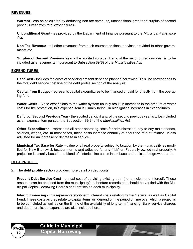#### **REVENUES**

**Warrant** - can be calculated by deducting non-tax revenues, unconditional grant and surplus of second previous year from total expenditures.

**Unconditional Grant** - as provided by the Department of Finance pursuant to the *Municipal Assistance Act*.

**Non-Tax Revenue** - all other revenues from such sources as fines, services provided to other governments etc.

**Surplus of Second Previous Year** - the audited surplus, if any, of the second previous year is to be included as a revenue item pursuant to Subsection 89(8) of the *Municipalities Act.* 

#### **EXPENDITURES**

**Debt Cost** - includes the costs of servicing present debt and planned borrowing. This line corresponds to the total debt service cost line of the debt profile section of the analysis.

**Capital from Budget** - represents capital expenditures to be financed or paid for directly from the operating fund.

**Water Costs** - Since expansions to the water system usually result in increases in the amount of water costs for fire protection, this expense item is usually helpful in highlighting increases in expenditures.

**Deficit of Second Previous Year** - the audited deficit, if any, of the second previous year is to be included as an expense item pursuant to Subsection 89(9) of the *Municipalities Act.* 

**Other Expenditures** - represents all other operating costs for administration, day-to-day maintenance, salaries, wages, etc. In most cases, these costs increase annually at about the rate of inflation unless adjusted for an increase or decrease in service.

**Municipal Tax Base for Rate** – value of all real property subject to taxation by the municipality as modified for New Brunswick taxation norms and adjusted for any "risk" on Federally owned real property. A projection is usually based on a blend of historical increases in tax base and anticipated growth trends.

#### **DEBT PROFILE**

2. The **debt profile** section provides more detail on debt costs:

**Present Debt Service Cost** - annual cost of servicing existing debt (i.e. principal and interest). These amounts can be obtained from the municipality's debenture records and should be verified with the Municipal Capital Borrowing Board's debt profiles on each municipality.

**Interim Financing** - this represents short-term interest costs relating to the General as well as Capital Fund. These costs as they relate to capital items will depend on the period of time over which a project is to be completed as well as on the timing of the availability of long-term financing. Bank service charges and debenture issue expenses are also included here.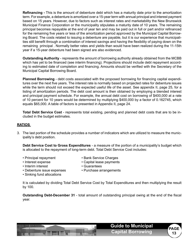**Refinancing -** This is the amount of debenture debt which has a maturity date prior to the amortization term. For example, a debenture is amortized over a 15-year term with annual principal and interest payment based on 15 years. However, due to factors such as interest rates and marketability the New Brunswick Municipal Finance Corporation or the municipality stipulates a maturity date of 10 years. The remaining principal becomes repayable at the end of year ten and may be paid out in full or part and/or refinanced for the remaining five years or less of the amortization period approved by the Municipal Capital Borrowing Board. The costs related to issuing a debenture are payable, but it is our experience that municipalities still benefit through a combination of interest savings and having the flexibility of paying down on the remaining principal . Normally better rates and yields than would have been realized during the 11-15th year if a 15-year debenture had been signed are also evidenced.

**Outstanding Authority** - represents the amount of borrowing authority already obtained from the MCBB which has yet to be financed (see interim financing). Projections should include debt repayment according to estimated date of completion and financing. Amounts should be verified with the Secretary of the Municipal Capital Borrowing Board.

**Planned Borrowing** - debt costs associated with the proposed borrowing for financing capital expenditures over the next five years. The interest rate is normally based on projected rates for debenture issues while the term should not exceed the expected useful life of the asset. See appendix II, page 25, for a listing of amortization periods. The debt cost amount is then obtained by employing a blended interest and principal payment schedule. For example, the annual debt cost on borrowing of \$400,000 at a rate of 10 percent for 10 years would be determined by multiplying \$400,000 by a factor of 0.162745, which equals \$65,000. A table of factors is presented in Appendix II, page 24.

**Total Debt Service Cost** - represents total existing, pending and planned debt costs that are to be included in the budget estimates.

#### **RATIOS**

3. The last portion of the schedule provides a number of indicators which are utilized to measure the municipality's debt position.

**Debt Service Cost to Gross Expenditures** - a measure of the portion of a municipality's budget which is allocated to the repayment of long-term debt. Total Debt Service Cost includes:

- Principal repayment Bank Service Charges
- 
- 
- Interest expense Capital lease payments
- Interim interest Guarantees

• Sinking fund allocations

- Debenture issue expenses Purchase arrangements
- -

It is calculated by dividing Total Debt Service Cost by Total Expenditures and then multiplying the result by 100.

**Outstanding Debt-December 31** - total amount of outstanding principal owing at the end of the fiscal year.

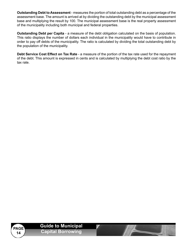**Outstanding Debt to Assessment** - measures the portion of total outstanding debt as a percentage of the assessment base. The amount is arrived at by dividing the outstanding debt by the municipal assessment base and multiplying the result by 100. The municipal assessment base is the real property assessment of the municipality including both municipal and federal properties.

**Outstanding Debt per Capita** - a measure of the debt obligation calculated on the basis of population. This ratio displays the number of dollars each individual in the municipality would have to contribute in order to pay off debts of the municipality. The ratio is calculated by dividing the total outstanding debt by the population of the municipality.

**Debt Service Cost Effect on Tax Rate** - a measure of the portion of the tax rate used for the repayment of the debt. This amount is expressed in cents and is calculated by multiplying the debt cost ratio by the tax rate.

#### **PAGE 14 Guide to Municipal Capital Borrowing**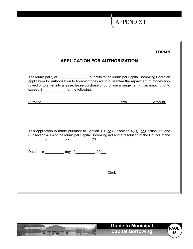# **APPENDIX I**

|                                                                                                                                                                                                                                                                                                                                                                                                                                                                                                                                                                                                                                                                                                                   |  |              | <b>FORM1</b> |  |
|-------------------------------------------------------------------------------------------------------------------------------------------------------------------------------------------------------------------------------------------------------------------------------------------------------------------------------------------------------------------------------------------------------------------------------------------------------------------------------------------------------------------------------------------------------------------------------------------------------------------------------------------------------------------------------------------------------------------|--|--------------|--------------|--|
| <b>APPLICATION FOR AUTHORIZATION</b>                                                                                                                                                                                                                                                                                                                                                                                                                                                                                                                                                                                                                                                                              |  |              |              |  |
| application for authorization to borrow money (or to guarantee the repayment of money bor-<br>rowed or to enter into a lease, lease-purchase or purchase arrangement) in an amount not to<br>exceed \$________________ for the following:                                                                                                                                                                                                                                                                                                                                                                                                                                                                         |  |              |              |  |
| Purpose <b>Districts Purpose Districts Purpose</b>                                                                                                                                                                                                                                                                                                                                                                                                                                                                                                                                                                                                                                                                |  |              | Term Amount  |  |
| This application is made pursuant to Section 1.1 (or Subsection $4(1)$ ) (or Section 1.1 and<br>Subsection 4(1)) of the Municipal Capital Borrowing Act and a resolution of the Council of the<br>$\frac{1}{\sqrt{1-\frac{1}{2}}}\text{ of } \frac{1}{\sqrt{1-\frac{1}{2}}}\text{ on } \frac{1}{\sqrt{1-\frac{1}{2}}}\text{ on } \frac{1}{\sqrt{1-\frac{1}{2}}}\text{ on } \frac{1}{\sqrt{1-\frac{1}{2}}}\text{ on } \frac{1}{\sqrt{1-\frac{1}{2}}}\text{ on } \frac{1}{\sqrt{1-\frac{1}{2}}}\text{ on } \frac{1}{\sqrt{1-\frac{1}{2}}}\text{ on } \frac{1}{\sqrt{1-\frac{1}{2}}}\text{ on } \frac{1}{\sqrt{1-\frac{1}{2}}}\text{ on } \frac{1}{\sqrt{1-\$<br>Dated this _____________ day of ___________, 20___. |  | <b>Clerk</b> |              |  |

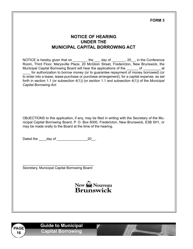**FORM 3** 

### **NOTICE OF HEARING UNDER THE MUNICIPAL CAPITAL BORROWING ACT**

NOTICE is hereby given that on \_\_\_\_\_\_, the \_\_\_ day of \_\_\_\_\_\_, 20\_, in the Conference Room, Third Floor, Marysville Place, 20 McGloin Street, Fredericton, New Brunswick, the Municipal Capital Borrowing Board will hear the applications of the \_\_\_\_\_\_ of \_\_\_\_\_\_\_\_ at for authorization to borrow money (or to guarantee repayment of money borrowed) (or to enter into a lease, lease-purchase or purchase arrangement), for a capital expense, as set forth in section 1.1 (or subsection 4(1)) (or section 1.1 and subsection 4(1)) of the *Municipal Capital Borrowing Act*:

OBJECTIONS to this application, if any, may be filed in writing with the Secretary of the Municipal Capital Borrowing Board, P. O. Box 6000, Fredericton, New Brunswick, E3B 5H1, or may be made orally to the Board at the time of the hearing.

Dated the \_\_\_\_day of \_\_\_\_\_\_\_\_\_\_\_\_\_\_\_\_20\_\_.

\_\_\_\_\_\_\_\_\_\_\_\_\_\_\_\_\_\_\_\_\_\_\_\_\_\_\_\_\_\_\_\_\_\_\_\_\_ Secretary, Municipal Capital Borrowing Board

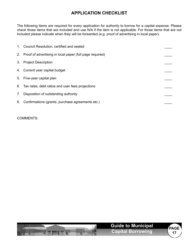# **APPLICATION CHECKLIST**

The following items are required for every application for authority to borrow for a capital expense. Please check those items that are included and use N/A if the item is not applicable. For those items that are not included please indicate when they will be forwarded (e.g. proof of advertising in local paper).

|    | 1. Council Resolution, certified and sealed                 |  |
|----|-------------------------------------------------------------|--|
|    | 2. Proof of advertising in local paper (full page required) |  |
| 3. | <b>Project Description</b>                                  |  |
|    | 4. Current year capital budget                              |  |
|    | 5. Five-year capital plan                                   |  |
|    | 6. Tax rates, debt ratios and user fees projections         |  |
| 7. | Disposition of outstanding authority                        |  |
|    | 8. Confirmations (grants, purchase agreements etc.)         |  |
|    |                                                             |  |

COMMENTS:

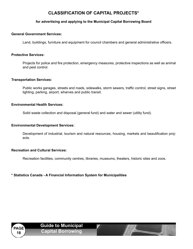## **CLASSIFICATION OF CAPITAL PROJECTS\***

### **for advertising and applying to the Municipal Capital Borrowing Board**

#### **General Government Services:**

Land, buildings, furniture and equipment for council chambers and general administrative officers.

#### **Protective Services:**

Projects for police and fire protection, emergency measures, protective inspections as well as animal and pest control.

#### **Transportation Services:**

Public works garages, streets and roads, sidewalks, storm sewers, traffic control, street signs, street lighting, parking, airport, wharves and public transit.

#### **Environmental Health Services:**

Solid waste collection and disposal (general fund) and water and sewer (utility fund).

#### **Environmental Development Services:**

Development of industrial, tourism and natural resources, housing, markets and beautification projects.

#### **Recreation and Cultural Services:**

Recreation facilities, community centres, libraries, museums, theaters, historic sites and zoos.

#### **\* Statistics Canada - A Financial Information System for Municipalities**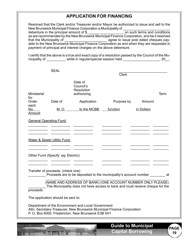# **APPLICATION FOR FINANCING**

Resolved that the Clerk and/or Treasurer and/or Mayor be authorized to issue and sell to the New Brunswick Municipal Finance Corporation a Municipality of debenture in the principal amount of \$\_\_\_\_\_\_\_\_\_\_\_\_\_\_\_\_\_\_\_ on such terms and conditions as are recommended by the New Brunswick Municipal Finance Corporation, and be it resolved that the Municipality of \_\_\_\_\_\_\_\_\_\_\_\_\_\_\_\_\_\_\_\_\_\_ agree to issue post dated cheques payable to the New Brunswick Municipal Finance Corporation as and when they are requested in payment of principal and interest charges on the above debenture.

I certify that the above is a true and exact copy of a resolution passed by the Council of the Municipality of \_\_\_\_\_\_\_\_\_\_\_ while in regular/special session held \_\_\_\_\_\_\_\_\_\_\_\_\_\_\_\_\_\_\_\_, 20\_\_.

|                                                                                                                                                                                    | <b>SEAL</b>                           |                                                                                                                                              | <b>Clerk</b> |            |      |
|------------------------------------------------------------------------------------------------------------------------------------------------------------------------------------|---------------------------------------|----------------------------------------------------------------------------------------------------------------------------------------------|--------------|------------|------|
| <b>Ministerial</b><br>for                                                                                                                                                          |                                       | Date of<br>Council's<br>Resolution<br>authorizing                                                                                            |              |            | Term |
| Order                                                                                                                                                                              | Date of                               | Application                                                                                                                                  | Purpose by   | Amount     |      |
| each<br>No.<br>Amount                                                                                                                                                              |                                       | M.O. to the MCBB function                                                                                                                    |              | in Dollars |      |
| <b>General Operating Fund</b>                                                                                                                                                      |                                       |                                                                                                                                              |              |            |      |
|                                                                                                                                                                                    |                                       |                                                                                                                                              |              |            |      |
|                                                                                                                                                                                    |                                       |                                                                                                                                              |              |            |      |
|                                                                                                                                                                                    | <b>Water &amp; Sewer Utility Fund</b> |                                                                                                                                              |              |            |      |
|                                                                                                                                                                                    |                                       |                                                                                                                                              |              |            |      |
|                                                                                                                                                                                    | Other Fund (Specify: eg: Electric)    |                                                                                                                                              |              |            |      |
|                                                                                                                                                                                    |                                       |                                                                                                                                              |              |            |      |
|                                                                                                                                                                                    | Transfer of proceeds: (check one)     | Proceeds are to be deposited to the municipality's account number electronic pat-                                                            |              |            |      |
| proceeds.                                                                                                                                                                          |                                       | (NAME AND ADDRESS OF BANK) (ONE ACCOUNT NUMBER ONLY PLEASE)<br>The Municipality does not have access to bank and must receive cheque for the |              |            |      |
|                                                                                                                                                                                    | The application should be sent to:    |                                                                                                                                              |              |            |      |
| Department of the Environment and Local Government<br>Attn. Secretary-Treasurer, New Brunswick Municipal Finance Corporation<br>P. O. Box 6000, Fredericton, New Brunswick E3B 5H1 |                                       |                                                                                                                                              |              |            |      |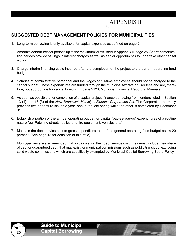# **SUGGESTED DEBT MANAGEMENT POLICIES FOR MUNICIPALITIES**

- 1. Long-term borrowing is only available for capital expenses as defined on page 2.
- 2. Amortize debentures for periods up to the maximum terms listed in Appendix II, page 25. Shorter amortization periods provide savings in interest charges as well as earlier opportunities to undertake other capital works.
- 3. Charge interim financing costs incurred after the completion of the project to the current operating fund budget.
- 4. Salaries of administrative personnel and the wages of full-time employees should not be charged to the capital budget. These expenditures are funded through the municipal tax rate or user fees and are, therefore, not appropriate for capital borrowing (page 2120, Municipal Financial Reporting Manual).
- 5. As soon as possible after completion of a capital project, finance borrowing from lenders listed in Section 13 (1) and 13 (3) of the *New Brunswick Municipal Finance Corporation Act*. The Corporation normally provides two debenture issues a year, one in the late spring while the other is completed by December 31.
- 6. Establish a portion of the annual operating budget for capital (pay-as-you-go) expenditures of a routine nature (eg: Patching streets, police and fire equipment, vehicles etc.).
- 7. Maintain the debt service cost to gross expenditure ratio of the general operating fund budget below 20 percent. (See page 13 for definition of this ratio)

 Municipalities are also reminded that, in calculating their debt service cost, they must include their share of debt or guaranteed debt, that may exist for municipal commissions such as public transit but excluding solid waste commissions which are specifically exempted by Municipal Capital Borrowing Board Policy.

**PAGE 20**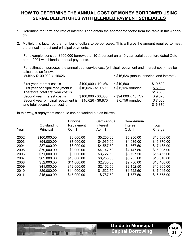### **HOW TO DETERMINE THE ANNUAL COST OF MONEY BORROWED USING SERIAL DEBENTURES WITH BLENDED PAYMENT SCHEDULES**

- 1. Determine the term and rate of interest. Then obtain the appropriate factor from the table in this Appendix.
- 2. Multiply this factor by the number of dollars to be borrowed. This will give the amount required to meet the annual interest and principal payments.

For example: consider \$100,000 borrowed at 101/2 percent on a 10-year serial debenture dated October 1, 2001 with blended annual payments.

For estimation purposes the annual debt service cost (principal repayment and interest cost) may be calculated as follows: Multiply  $$100,000 \times .16626$   $$16,626$  (annual principal and interest)

| First year interest cost is<br>First year principal repayment is    | \$100,000 x 101/2%<br>$$16,626 - $10,500$ | $= $10,500$<br>$= $6,126$ rounded | \$10,500<br>\$6,000 |
|---------------------------------------------------------------------|-------------------------------------------|-----------------------------------|---------------------|
| Therefore, total first year cost is<br>Second year interest cost is | $$100,000 - $6,000$                       | $=$ \$94,000 x 101/2%             | \$16,500<br>\$9,870 |
| Second year principal repayment is<br>and total second year cost is | $$16,626 - $9,870$                        | $=$ \$ 6,756 rounded              | \$7,000<br>\$16,870 |

In this way, a repayment schedule can be worked out as follows:

|      |              | Principal   | Semi-Annual | Semi-Annual |               |
|------|--------------|-------------|-------------|-------------|---------------|
|      | Outstanding  | Repayment   | Interest    | Interest    | Total         |
| Year | Principal    | Oct. 1      | April 1     | Oct. 1      | <b>Charge</b> |
|      |              |             |             |             |               |
| 2002 | \$100,000.00 | \$6,000.00  | \$5,250.00  | \$5,250.00  | \$16,500.00   |
| 2003 | \$94,000.00  | \$7,000.00  | \$4,935.00  | \$4,935.00  | \$16,870.00   |
| 2004 | \$87,000.00  | \$8,000.00  | \$4,567.50  | \$4,567.50  | \$17,135.00   |
| 2005 | \$79,000.00  | \$8,000.00  | \$4,147.50  | \$4,147.50  | \$16,295.00   |
| 2006 | \$71,000.00  | \$9,000.00  | \$3,727.50  | \$3,727.50  | \$16,455.00   |
| 2007 | \$62,000.00  | \$10,000.00 | \$3,255.00  | \$3,255.00  | \$16,510.00   |
| 2008 | \$52,000.00  | \$11,000.00 | \$2,730.00  | \$2,730.00  | \$16,460.00   |
| 2009 | \$41,000.00  | \$12,000.00 | \$2,152.50  | \$2,152.50  | \$16,305.00   |
| 2010 | \$29,000.00  | \$14,000.00 | \$1,522.50  | \$1,522.50  | \$17,045.00   |
| 2011 | \$15,000.00  | \$15,000.00 | \$787.50    | \$787.50    | \$16,575.00   |
|      |              |             |             |             |               |

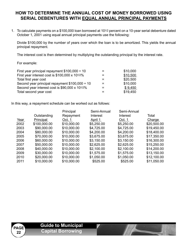### **HOW TO DETERMINE THE ANNUAL COST OF MONEY BORROWED USING SERIAL DEBENTURES WITH EQUAL ANNUAL PRINCIPAL PAYMENTS**

1. To calculate payments on a \$100,000 loan borrowed at 101/2 percent on a 10-year serial debenture dated October 1, 2001 using equal annual principal payments use the following:

Divide \$100,000 by the number of years over which the loan is to be amortized. This yields the annual principal repayment.

The interest cost is then determined by multiplying the outstanding principal by the interest rate.

#### For example:

| $=$ | \$10,000 |
|-----|----------|
| =   | \$10,500 |
|     | \$20,500 |
| $=$ | \$10,000 |
| $=$ | \$9,450  |
|     | \$19,450 |
|     |          |

In this way, a repayment schedule can be worked out as follows:

|      |              | Principal   | Semi-Annual | Semi-Annual |             |
|------|--------------|-------------|-------------|-------------|-------------|
|      | Outstanding  | Repayment   | Interest    | Interest    | Total       |
| Year | Principal    | Oct. 1      | April 1     | Oct. 1      | Charge      |
| 2002 | \$100,000.00 | \$10,000.00 | \$5,250.00  | \$5,250.00  | \$20,500.00 |
| 2003 | \$90,000.00  | \$10,000.00 | \$4,725.00  | \$4,725.00  | \$19,450.00 |
| 2004 | \$80,000.00  | \$10,000.00 | \$4,200.00  | \$4,200.00  | \$18,400.00 |
| 2005 | \$70,000.00  | \$10,000.00 | \$3,675.00  | \$3,675.00  | \$17,350.00 |
| 2006 | \$60,000.00  | \$10,000.00 | \$3,150.00  | \$3,150.00  | \$16,300.00 |
| 2007 | \$50,000.00  | \$10,000.00 | \$2,625.00  | \$2,625.00  | \$15,250.00 |
| 2008 | \$40,000.00  | \$10,000.00 | \$2,100.00  | \$2,100.00  | \$14,200.00 |
| 2009 | \$30,000.00  | \$10,000.00 | \$1,575.00  | \$1,575.00  | \$13,150.00 |
| 2010 | \$20,000.00  | \$10,000.00 | \$1,050.00  | \$1,050.00  | \$12,100.00 |
| 2011 | \$10,000.00  | \$10,000.00 | \$525.00    | \$525.00    | \$11,050.00 |
|      |              |             |             |             |             |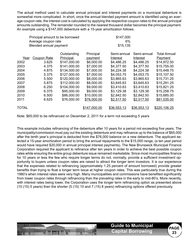The actual method used to calculate annual principal and interest payments on a municipal debenture is somewhat more complicated. In short, once the annual blended payment amount is identified using an average coupon rate, the interest cost is calculated by applying the respective coupon rates to the annual principal amounts outstanding. The remainder rounded to the nearest thousand dollar becomes the principal payment. An example using a \$147,000 debenture with a 15-year amortization follows.

|                                                                              | Principal amount to be borrowed<br>Average coupon rate<br>Blended annual payment             |                                                                                                                                                                        |                                                                                                                                                     | \$147,000<br>6%<br>\$15,135                                                                                                                           |                                                                                                                                                       |                                                                                                                                                                |
|------------------------------------------------------------------------------|----------------------------------------------------------------------------------------------|------------------------------------------------------------------------------------------------------------------------------------------------------------------------|-----------------------------------------------------------------------------------------------------------------------------------------------------|-------------------------------------------------------------------------------------------------------------------------------------------------------|-------------------------------------------------------------------------------------------------------------------------------------------------------|----------------------------------------------------------------------------------------------------------------------------------------------------------------|
| Year<br>2002<br>2003<br>2004<br>2005<br>2006<br>2007<br>2008<br>2009<br>2010 | Coupon Rate<br>3.625<br>4.375<br>4.875<br>5.375<br>5.500<br>5.875<br>6.250<br>6.375<br>6.500 | Outstanding<br>Principal<br>\$147,000.00<br>\$141,000.00<br>\$134,000.00<br>\$127,000.00<br>\$120,000.00<br>\$112,000.00<br>\$104,000.00<br>\$95,000.00<br>\$86,000.00 | Principal<br>payment<br>\$6,000.00<br>\$7,000.00<br>\$7,000.00<br>\$7,000.00<br>\$8,000.00<br>\$8,000.00<br>\$9,000.00<br>\$9,000.00<br>\$10,000.00 | Semi-annual<br>Interest<br>\$4,486.25<br>\$4,377.50<br>\$4,224.38<br>\$4,053.75<br>\$3,865.63<br>\$3,645.63<br>\$3,410.63<br>\$3,129.38<br>\$2,842.50 | Semi-annual<br>Interest<br>\$4,486.25<br>\$4,377.50<br>\$4,224.38<br>\$4,053.75<br>\$3,865.63<br>\$3,645.63<br>\$3,410.63<br>\$3,129.38<br>\$2,842.50 | Total Annual<br>Payment<br>\$14,972.50<br>\$15,755.00<br>\$15,448.75<br>\$15,107.50<br>\$15,731.25<br>\$15,291.25<br>\$15,821.25<br>\$15,258.75<br>\$15,685.00 |
| 2011<br><b>TOTAL</b>                                                         | 6.625                                                                                        | \$76,000.00                                                                                                                                                            | \$76,000.00<br>\$147,000.00                                                                                                                         | \$2,517.50<br>\$36,553.13                                                                                                                             | \$2,517.50<br>\$36,553.13                                                                                                                             | \$81,035.00<br>\$220,106.25                                                                                                                                    |

 Note: \$65,000 to be refinanced on December 2, 2011 for a term not exceeding 5 years

This example includes refinancing of the debenture after 10 years for a period not exceeding five years. The municipality/commission must pay out the existing debenture and may refinance up to the balance of \$65,000 after the tenth year's principal is deducted from the \$76,000 balance on a new debenture. The applicant selected a 15-year amortization period to bring the annual repayments to the \$15,000 range, (a ten year period would have required \$20,000 in annual principal interest payments). The New Brunswick Municipal Finance Corporation required the applicant to refinance after ten years in order to achieve the best possible coupon rates while ensuring the entire group debenture issue remained marketable. Since most municipalities finance for 10 years or less the few who require longer terms do not, normally, provide a sufficient investment opportunity to buyers unless coupon rates are raised to attract the longer term investors. It is our experience that the expenses related to refinancing (approximately 1.25 percent of amount borrowed) provide greater benefits than trying to float a longer term issue at higher coupon rates. This was particularly true during the 1980's when interest rates were very high. Many municipalities and commissions have benefited significantly from lower coupon rates through refinancing than the prevailing rates in the early to mid-80's. More recently, with interest rates being lower, the Corporation uses the longer term refinancing option as presented above (10 (15) 5 years) than the shorter (5 (15) 10 and 7 (15) 8 years) refinancing options offered previously.

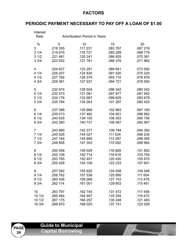### **FACTORS**

# **PERIODIC PAYMENT NECESSARY TO PAY OFF A LOAN OF \$1.00**

| Interest<br>Rate |          | <b>Amortization Period in Years</b> |          |          |
|------------------|----------|-------------------------------------|----------|----------|
| $\%$             | 5        | 10                                  | 15       | 20       |
| 3                | .218 355 | .117 231                            | .083 767 | .067 216 |
| 31/4             | .219 916 | .118 731                            | .085 289 | .068 779 |
| 31/2             | .221 481 | .120 241                            | .086 825 | .070 361 |
| 33/4             | .223 052 | .121 761                            | .088 376 | .071 962 |
| $\overline{4}$   | .224 627 | .123 291                            | .089 941 | .073 582 |
| 4 1/4            | .226 207 | .124 830                            | .091 520 | .075 220 |
| 4 1/2            | .227 792 | .126 379                            | .093 114 | .076 876 |
| 4 3/4            | .229 381 | .127 937                            | .094 721 | .078 550 |
| 5                | .230 974 | .129 504                            | .096 342 | .080 242 |
| 51/4             | .232 573 | .131 081                            | .097 977 | .081 952 |
| 51/2             | .234 176 | .132 667                            | .099 625 | .083 679 |
| 5 3/4            | .235 784 | .134 263                            | .101 287 | .085 423 |
| 6                | .237 396 | .135 868                            | .102 963 | .087 185 |
| 6 1/4            | .239 013 | .137 482                            | .104 651 | .088 962 |
| 61/2             | .240 635 | .139 105                            | .106 353 | .090 756 |
| 6 3/4            | .242 260 | .140 737                            | .108 067 | .092 567 |
| $7\phantom{0}$   | .243 890 | .142 377                            | .109 794 | .094 392 |
| 71/4             | .245 525 | .144 027                            | .111 534 | .096 234 |
| 71/2             | .247 164 | .145 685                            | .113 287 | .098 092 |
| 73/4             | .248 808 | .147 353                            | .115 052 | .099 964 |
| 8                | .250 456 | .149 029                            | .116 829 | .101 852 |
| 8 1/4            | .252 108 | .150 714                            | .118 618 | .103 754 |
| 81/2             | .253 765 | .152 407                            | .120 420 | .105 670 |
| 8 3/4            | .255 426 | .154 109                            | .122 233 | .107 601 |
| 9                | .257 092 | .155 820                            | .124 058 | .109 546 |
| 91/4             | .258 762 | .157 538                            | .125 895 | .111 504 |
| 91/2             | .260 436 | .159 266                            | .127 743 | .113 476 |
| 9 3/4            | .262 114 | .161 001                            | .129 603 | .115 461 |
| 10 <sup>°</sup>  | .263 797 | .162 745                            | .131 472 | .117 459 |
| 10 1/4           | .265 484 | .164 497                            | .133 355 | .119 470 |
| 10 1/2           | .267 175 | .166 257                            | .135 248 | .121 493 |
| 10 3/4           | .268 870 | .168 025                            | .137 151 | .123 528 |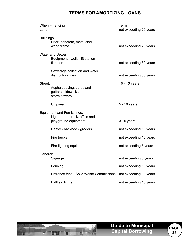# **TERMS FOR AMORTIZING LOANS**

| Land       | <b>When Financing</b>                                                                        | <u>Term</u><br>not exceeding 20 years |
|------------|----------------------------------------------------------------------------------------------|---------------------------------------|
| Buildings: | Brick, concrete, metal clad,<br>wood frame                                                   | not exceeding 20 years                |
|            | Water and Sewer:<br>Equipment - wells, lift station -<br>filtration                          | not exceeding 30 years                |
|            | Sewerage collection and water<br>distribution lines                                          | not exceeding 30 years                |
| Street:    | Asphalt paving, curbs and<br>gutters, sidewalks and<br>storm sewers                          | 10 - 15 years                         |
|            | Chipseal                                                                                     | 5 - 10 years                          |
|            | <b>Equipment and Furnishings:</b><br>Light - auto, truck, office and<br>playground equipment | $3 - 5$ years                         |
|            | Heavy - backhoe - graders                                                                    | not exceeding 10 years                |
|            | Fire trucks                                                                                  | not exceeding 15 years                |
|            | Fire fighting equipment                                                                      | not exceeding 5 years                 |
| General:   | Signage                                                                                      | not exceeding 5 years                 |
|            | Fencing                                                                                      | not exceeding 10 years                |
|            | <b>Entrance fees - Solid Waste Commissions</b>                                               | not exceeding 10 years                |
|            | <b>Ballfield lights</b>                                                                      | not exceeding 15 years                |



▄▌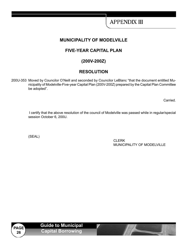# **MUNICIPALITY OF MODELVILLE**

# **FIVE-YEAR CAPITAL PLAN**

# **(200V-200Z)**

# **RESOLUTION**

200U-353 Moved by Councilor O'Neill and seconded by Councilor LeBlanc "that the document entitled Municipality of Modelville-Five-year Capital Plan (200V-200Z) prepared by the Capital Plan Committee be adopted".

Carried.

I certify that the above resolution of the council of Modelville was passed while in regular/special session October 6, 200U.

(SEAL)

**CLERK CLERK** MUNICIPALITY OF MODELVILLE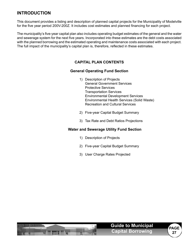### **INTRODUCTION**

This document provides a listing and description of planned capital projects for the Municipality of Modelville for the five year period 200V-200Z. It includes cost estimates and planned financing for each project.

The municipality's five-year capital plan also includes operating budget estimates of the general and the water and sewerage system for the next five years. Incorporated into these estimates are the debt costs associated with the planned borrowing and the estimated operating and maintenance costs associated with each project. The full impact of the municipality's capital plan is, therefore, reflected in these estimates.

### **CAPITAL PLAN CONTENTS**

#### **General Operating Fund Section**

- 1) Description of Projects General Government Services Protective Services Transportation Services Environmental Development Services Environmental Health Services (Solid Waste) Recreation and Cultural Services
- 2) Five-year Capital Budget Summary
- 3) Tax Rate and Debt Ratios Projections

#### **Water and Sewerage Utility Fund Section**

- 1) Description of Projects
- 2) Five-year Capital Budget Summary

**Guide to Municipal Capital Borrowing**

**PAGE 27**

3) User Charge Rates Projected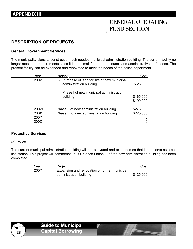# **APPENDIX III-**

# **GENERAL OPERATING FUND SECTION**

# **DESCRIPTION OF PROJECTS**

### **General Government Services**

The municipality plans to construct a much needed municipal administration building. The current facility no longer meets the requirements since it is too small for both the council and administrative staff needs. The present facility can be expanded and renovated to meet the needs of the police department.

| Year | Project                                                                  | Cost      |
|------|--------------------------------------------------------------------------|-----------|
| 200V | i) Purchase of land for site of new municipal<br>administration building | \$25,000  |
|      | Phase I of new municipal administration<br>$\parallel$ )                 |           |
|      | building                                                                 | \$165,000 |
|      |                                                                          | \$190,000 |
| 200W | Phase II of new administration building                                  | \$275,000 |
| 200X | Phase III of new administration building                                 | \$225,000 |
| 200Y |                                                                          | O         |
| 200Z |                                                                          | 0         |

### **Protective Services**

#### (a) Police

The current municipal administration building will be renovated and expanded so that it can serve as a police station. This project will commence in 200Y once Phase III of the new administration building has been completed.

| Year | Project                                      | Cost      |
|------|----------------------------------------------|-----------|
| 200Y | Expansion and renovation of former municipal |           |
|      | administration building                      | \$125,000 |

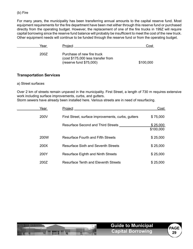#### (b) Fire

For many years, the municipality has been transferring annual amounts to the capital reserve fund. Most equipment requirements for the fire department have been met either through this reserve fund or purchased directly from the operating budget. However, the replacement of one of the fire trucks in 199Z will require capital borrowing since the reserve fund balance will probably be insufficient to meet the cost of the new truck. Other equipment needs will continue to be funded through the reserve fund or from the operating budget.

| Year | Project                                                                                     | Cost      |
|------|---------------------------------------------------------------------------------------------|-----------|
| 200Z | Purchase of new fire truck<br>(cost \$175,000 less transfer from<br>(reserve fund \$75,000) | \$100,000 |

### **Transportation Services**

#### a) Street surfaces

Over 2 km of streets remain unpaved in the municipality. First Street, a length of 730 m requires extensive work including surface improvements, curbs, and gutters.

| Storm sewers have already been installed here. Various streets are in need of resurfacing. |  |
|--------------------------------------------------------------------------------------------|--|
|--------------------------------------------------------------------------------------------|--|

| Year | Project                                            | <b>Cost</b>           |
|------|----------------------------------------------------|-----------------------|
| 200V | First Street, surface improvements, curbs, gutters | \$75,000              |
|      | <b>Resurface Second and Third Streets</b>          | \$25,000<br>\$100,000 |
| 200W | <b>Resurface Fourth and Fifth Streets</b>          | \$25,000              |
| 200X | <b>Resurface Sixth and Seventh Streets</b>         | \$25,000              |
| 200Y | <b>Resurface Eighth and Ninth Streets</b>          | \$25,000              |
| 200Z | Resurface Tenth and Eleventh Streets               | \$25,000              |

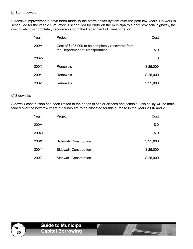#### b) Storm sewers

Extensive improvements have been made to the storm sewer system over the past few years. No work is scheduled for the year 200W. Work is scheduled for 200V on the municipality's only provincial highway, the cost of which is completely recoverable from the Department of Transportation.

| Year | Project                                                                               | <u>Cost</u> |
|------|---------------------------------------------------------------------------------------|-------------|
| 200V | Cost of \$125,000 to be completely recovered from<br>the Department of Transportation | \$0         |
| 200W |                                                                                       | 0           |
| 200X | Renewals                                                                              | \$25,000    |
| 200Y | Renewals                                                                              | \$25,000    |
| 200Z | Renewals                                                                              | \$25,000    |

#### c) Sidewalks

Sidewalk construction has been limited to the needs of senior citizens and schools. This policy will be maintained over the next few years but funds are to be allocated for this purpose in the years 200X and 200Z.

| Year | Project                      | <u>Cost</u> |
|------|------------------------------|-------------|
| 200V |                              | \$0         |
| 200W |                              | \$0         |
| 200X | <b>Sidewalk Construction</b> | \$25,000    |
| 200Y | <b>Sidewalk Construction</b> | \$25,000    |
| 200Z | <b>Sidewalk Construction</b> | \$25,000    |

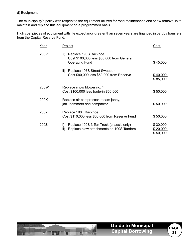### d) Equipment

The municipality's policy with respect to the equipment utilized for road maintenance and snow removal is to maintain and replace this equipment on a programmed basis.

High cost pieces of equipment with life expectancy greater than seven years are financed in part by transfers from the Capital Reserve Fund.

| Year | <b>Project</b>                                                                                   | Cost                             |
|------|--------------------------------------------------------------------------------------------------|----------------------------------|
| 200V | Replace 198S Backhoe<br>i)<br>Cost \$100,000 less \$55,000 from General<br><b>Operating Fund</b> | \$45,000                         |
|      | Replace 197S Street Sweeper<br>ii)<br>Cost \$90,000 less \$50,000 from Reserve                   | \$40,000<br>\$85,000             |
| 200W | Replace snow blower no. 1<br>Cost \$100,000 less trade-in \$50,000                               | \$50,000                         |
| 200X | Replace air compressor, steam jenny,<br>jack hammers and compactor                               | \$50,000                         |
| 200Y | Replace 198T Backhoe<br>Cost \$110,000 less \$60,000 from Reserve Fund                           | \$50,000                         |
| 200Z | Replace 199S 3 Ton Truck (chassis only)<br>i)<br>Replace plow attachments on 199S Tandem<br>ii)  | \$30,000<br>\$20,000<br>\$50,000 |

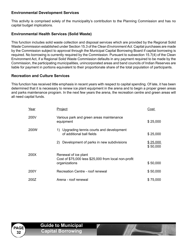### **Environmental Development Services**

This activity is comprised solely of the municipality's contribution to the Planning Commission and has no capital budget implications.

### **Environmental Health Services (Solid Waste)**

This function includes solid waste collection and disposal services which are provided by the Regional Solid Waste Commission established under Section 15.3 of the *Clean Environment Act*. Capital purchases are made by the Commission subject to approval through the Municipal Capital Borrowing Board if capital borrowing is required. No borrowing is currently required by the Commission. Pursuant to subsection 15.7(4) of the Clean Environment Act, if a Regional Solid Waste Commission defaults in any payment required to be made by the Commission, the participating municipalities, unincorporated areas and band councils of Indian Reserves are liable for payment in portions equivalent to their proportionate share of the total population of participants.

### **Recreation and Culture Services**

This function has received little emphasis in recent years with respect to capital spending. Of late, it has been determined that it is necessary to renew ice plant equipment in the arena and to begin a proper green areas and parks maintenance program. In the next few years the arena, the recreation centre and green areas will all need capital funds.

| Year | Project                                                                                       | <u>Cost</u>          |
|------|-----------------------------------------------------------------------------------------------|----------------------|
| 200V | Various park and green areas maintenance<br>equipment                                         | \$25,000             |
| 200W | Upgrading tennis courts and development<br>1)<br>of additional ball fields                    | \$25,000             |
|      | Development of parks in new subdivisions<br>(2)                                               | \$25,000<br>\$50,000 |
| 200X | Renewal of ice plant<br>Cost of \$75,000 less \$25,000 from local non-profit<br>organizations | \$50,000             |
| 200Y | Recreation Centre - roof renewal                                                              | \$50,000             |
| 200Z | Arena - roof renewal                                                                          | \$75,000             |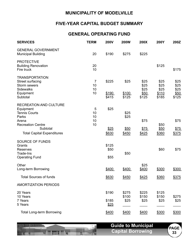### **MUNICIPALITY OF MODELVILLE**

# **FIVE-YEAR CAPITAL BUDGET SUMMARY**

### **GENERAL OPERATING FUND**

| <b>SERVICES</b>                                                                           | <b>TERM</b>                | <b>200V</b>            | <b>200W</b>            | 200X                   | 200Y                   | 200Z                 |
|-------------------------------------------------------------------------------------------|----------------------------|------------------------|------------------------|------------------------|------------------------|----------------------|
| <b>GENERAL GOVERNMENT</b><br><b>Municipal Building</b>                                    | 20                         | \$190                  | \$275                  | \$225                  |                        |                      |
| <b>PROTECTIVE</b><br><b>Building Renovation</b><br>Fire truck                             | 20<br>10                   |                        |                        |                        | \$125                  | \$175                |
| <b>TRANSPORTATION</b><br>Street surfacing<br>Storm sewers<br><b>Sidewalks</b>             | $\overline{7}$<br>10<br>10 | \$225                  | \$25                   | \$25<br>\$25<br>\$25   | \$25<br>\$25<br>\$25   | \$25<br>\$25<br>\$25 |
| Equipment<br>Subtotal                                                                     | 10                         | \$190<br>\$415         | \$100<br>\$125         | \$50<br>\$125          | \$110<br>\$185         | \$50<br>\$125        |
| <b>RECREATION AND CULTURE</b><br>Equipment<br><b>Tennis Courts</b><br>Parks               | 5<br>10<br>10              | \$25                   | \$25<br>\$25           |                        |                        |                      |
| Arena<br><b>Recreation Centre</b>                                                         | 10<br>10                   |                        |                        | \$75                   | \$50                   | \$75                 |
| Subtotal<br><b>Total Capital Expenditures</b>                                             |                            | \$25<br>\$630          | \$50<br>\$450          | \$75<br>\$425          | \$50<br>\$360          | \$75<br>\$375        |
| SOURCE OF FUNDS<br>Grants<br><b>Reserves</b><br><b>Trade-Ins</b><br><b>Operating Fund</b> |                            | \$125<br>\$50<br>\$55  | \$50                   |                        | \$60                   | \$75                 |
| Other<br>Long-term Borrowing                                                              |                            | \$400                  | \$400                  | \$25<br>\$400          | \$300                  | \$300                |
| <b>Total Sources of funds</b>                                                             |                            | \$630                  | \$450                  | \$425                  | \$360                  | \$375                |
| <b>AMORTIZATION PERIODS</b>                                                               |                            |                        |                        |                        |                        |                      |
| 20 Years<br>10 Years<br>7 Years<br>5 Years                                                |                            | \$190<br>\$185<br>\$25 | \$275<br>\$100<br>\$25 | \$225<br>\$150<br>\$25 | \$125<br>\$150<br>\$25 | \$275<br>\$25        |
| <b>Total Long-term Borrowing</b>                                                          |                            | \$400                  | \$400                  | \$400                  | \$300                  | \$300                |

**PAGE 33 Guide to Municipal Capital Borrowing**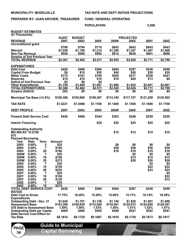**PREPARED BY: JOAN ARCHER, TREASURER FUND: GENERAL OPERATING** 

**POPULATION: 3,508** 

| <b>BUDGET ESTIMATES</b>             |               |                |           |             |                  |           |           |  |
|-------------------------------------|---------------|----------------|-----------|-------------|------------------|-----------|-----------|--|
| (In Thousands)                      |               |                |           |             |                  |           |           |  |
|                                     | <b>AUDIT</b>  | <b>BUDGET</b>  |           |             | <b>PROJECTED</b> |           |           |  |
| <b>REVENUE</b>                      | 200T          | <b>200U</b>    | 200V      | <b>200W</b> | 200X             | 200Y      | 200Z      |  |
| <b>Unconditional grant</b>          |               |                |           |             |                  |           |           |  |
|                                     | \$790         | \$794          | \$715     | \$643       | \$643            | \$643     | \$643     |  |
| <b>Warrant</b>                      | \$1,026       | \$1,108        | \$1,214   | \$1,290     | \$1,347          | \$1,407   | \$1,468   |  |
| <b>Non-Tax Revenue</b>              | \$545         | \$560          | \$582     | \$612       | \$636            | \$661     | \$688     |  |
|                                     |               |                |           |             |                  |           |           |  |
| <b>Surplus of 2nd Previous Year</b> |               |                |           |             |                  |           |           |  |
| <b>TOTAL REVENUE</b>                | \$2,361       | \$2,462        | \$2,511   | \$2,545     | \$2,626          | \$2,711   | \$2,799   |  |
|                                     |               |                |           |             |                  |           |           |  |
| <b>EXPENDITURES</b>                 |               |                |           |             |                  |           |           |  |
| <b>Debt Cost</b>                    | \$420         | \$406          | \$384     | \$404       | \$397            | \$438     | \$459     |  |
| <b>Capital From Budget</b>          | \$8           | \$10           | \$55      | \$40        | \$50             | \$30      | \$30      |  |
| <b>Water Costs</b>                  | \$175         | \$181          | \$190     | \$205       | \$217            | \$229     | \$241     |  |
| <b>Reserves</b>                     | \$10          | \$10           | \$10      | \$10        | \$20             | \$13      | \$9       |  |
| <b>Deficit of 2nd Previous Year</b> | \$3           | \$6            | \$5       |             |                  |           |           |  |
| <b>Other Expenditures</b>           | \$1,750       | <u>\$1,849</u> | \$1,867   | \$1,886     | \$1,943          | \$2,001   | \$2,061   |  |
| <b>TOTAL EXPENDITURES</b>           | \$2,366       | \$2,462        | \$2,511   | \$2,545     | \$2,626          | \$2,711   | \$2,799   |  |
| <b>Surplus (Deficit)</b>            | (\$5)         | \$0            | \$0       | \$0         | \$0              | \$0       | \$0       |  |
|                                     |               |                |           |             |                  |           |           |  |
| Municipal Tax Base (+3.5%)          | \$100,386     | \$105,669      | \$109,367 | \$113,195   | \$117,157        | \$121,258 | \$125,502 |  |
|                                     |               |                |           |             |                  |           |           |  |
| <b>TAX RATE</b>                     | \$1.0221      | \$1.0486       |           | \$1.1400    |                  |           |           |  |
|                                     |               |                | \$1.1100  |             | \$1.1500         | \$1.1600  | \$1.1700  |  |
|                                     |               |                |           |             |                  |           |           |  |
| <b>DEBT PROFILE</b>                 | 200T          | 200U           | 200V      | <b>200W</b> | 200X             | 200Y      | 200Z      |  |
|                                     |               |                |           |             |                  |           |           |  |
| <b>Present Debt Service Cost</b>    | \$420         | \$406          | \$344     | \$303       | \$248            | \$239     | \$220     |  |
|                                     |               |                |           |             |                  |           |           |  |
| <b>Interim Financing</b>            |               |                | \$25      | \$25        | \$25             | \$25      | \$25      |  |
|                                     |               |                |           |             |                  |           |           |  |
| <b>Outstanding Authority</b>        |               |                |           |             |                  |           |           |  |
| MO #20-XX 10 \$100                  |               |                |           | \$15        | \$15             | \$15      | \$15      |  |
| \$15                                |               |                |           |             |                  |           |           |  |
| <b>Planned Borrowing</b>            |               |                |           |             |                  |           |           |  |
| <b>Term</b><br>Year<br>Rate         | <b>Amount</b> |                |           |             |                  |           |           |  |
| <b>200V</b><br>8.00%<br>5           | \$25          |                |           | \$6         | \$6              | \$6       | \$6       |  |
| <b>200V</b><br>8.00%<br>7           | \$185         |                |           | \$36        | \$36             | \$36      | \$36      |  |
| <b>200V</b>                         |               |                |           | \$19        |                  | \$19      | \$19      |  |
| 8.00%<br>20                         | \$190         |                |           |             | \$19             |           |           |  |
| <b>200W</b><br>8.00%<br>7           | \$25          |                |           |             | \$5              | \$5       | \$5       |  |
| <b>200W</b><br>8.00%<br>10          | \$100         |                |           |             | \$15             | \$15      | \$15      |  |
| <b>200W</b><br>20<br>8.00%          | \$275         |                |           |             | \$28             | \$28      | \$28      |  |
| 200X<br>8.00%<br>7                  | \$25          |                |           |             |                  | \$5       | \$5       |  |
| 200X<br>8.00%<br>10                 | \$150         |                |           |             |                  | \$22      | \$22      |  |
| 200X<br>8.00%<br>20                 | \$225         |                |           |             |                  | \$23      | \$23      |  |
| 8.00%<br>200Y<br>$\overline{7}$     | \$25          |                |           |             |                  |           | \$5       |  |
| 200Y<br>8.00%<br>10                 | \$150         |                |           |             |                  |           | \$22      |  |
| 200Y<br>8.00%<br>20                 | \$125         |                |           |             |                  |           | \$13      |  |
| 200Z<br>8.00%<br>7                  | \$25          |                |           |             |                  |           |           |  |
| 200Z<br>10<br>8.00%                 | \$275         |                |           |             |                  |           |           |  |
| <b>TOTAL DEBT SERVICE COST</b>      | \$420         | \$406          | \$384     | \$404       | \$397            | \$438     | \$459     |  |
| <b>RATIOS</b>                       |               |                |           |             |                  |           |           |  |
|                                     |               |                |           |             |                  |           |           |  |
| <b>Debt Cost to Gross</b>           | 17.75%        | 16.49%         | 15.29%    | 15.88%      | 15.11%           | 16.15%    | 16.39%    |  |
| <b>Expenditures</b>                 |               |                |           |             |                  |           |           |  |
| <b>Outstanding Debt - Dec. 31</b>   | \$1,645       | \$1,701        | \$1,726   | \$1,749     | \$1,828          | \$1,901   | \$1,898   |  |
| <b>Assessment Base</b>              | \$103,398     | \$108,839      | \$112,648 | \$116,591   | \$120,672        | \$124,895 | \$129,267 |  |
| O/S Debt to Assessment Base         | 1.59%         | 1.56%          | 1.53%     | 1.50%       | $1.51\%$         | 1.52%     | 1.47%     |  |
| <b>Outstanding Debt per Capita</b>  | \$469         | \$485          | \$492     | \$499       | \$521            | \$542     | \$541     |  |
| <b>Debt Service Cost Effect on</b>  |               |                |           |             |                  |           |           |  |
| <b>Tax Rate</b>                     | \$0.1814      | \$0.1729       | \$0.1697  | \$0.1810    | \$0.1738         | \$0.1873  | \$0.1917  |  |
|                                     |               |                |           |             |                  |           |           |  |

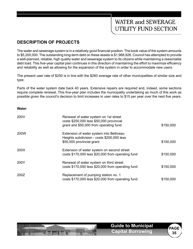# **WATER and SEWERAGE** UTILITY FUND SECTION

# **DESCRIPTION OF PROJECTS**

The water and sewerage system is in a relatively good financial position. The book value of the system amounts to \$5,200,000. The outstanding long-term debt on these assets is \$1,968,926. Council has attempted to provide a well-planned, reliable, high quality water and sewerage system to its citizens while maintaining a reasonable debt load. This five-year capital plan continues in this direction of maintaining the effort to maximize efficiency and reliability as well as allowing for the expansion of the system in order to accommodate new users.

The present user rate of \$250 is in line with the \$260 average rate of other municipalities of similar size and type.

Parts of the water system date back 40 years. Extensive repairs are required and, indeed, some sections require complete renewal. This five-year plan includes the municipality undertaking as much of this work as possible given the council's decision to limit increases in user rates to \$15 per year over the next five years.

#### **Water**

| 200V | Renewal of water system on 1st street<br>costs \$250,000 less \$50,000 provincial<br>grant and \$50,000 from operating fund | \$150,000 |
|------|-----------------------------------------------------------------------------------------------------------------------------|-----------|
| 200W | Extension of water system into Belliveau<br>Heights subdivision - costs \$200,000 less<br>\$50,000 provincial grant         | \$150,000 |
| 200X | Extension of water system on second street<br>costs \$170,000 less \$20,000 from operating fund                             | \$150,000 |
| 200Y | Renewal of water system on third street<br>costs \$170,000 less \$20,000 from operating fund                                | \$150,000 |
| 200Z | Replacement of pumping station no. 1<br>costs \$170,000 less \$20,000 from operating fund                                   | \$150,000 |

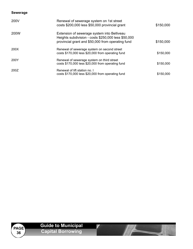### **Sewerage**

| 200V        | Renewal of sewerage system on 1st street<br>costs \$200,000 less \$50,000 provincial grant                                                              | \$150,000 |
|-------------|---------------------------------------------------------------------------------------------------------------------------------------------------------|-----------|
| <b>200W</b> | Extension of sewerage system into Belliveau<br>Heights subdivision - costs \$250,000 less \$50,000<br>provincial grant and \$50,000 from operating fund | \$150,000 |
| 200X        | Renewal of sewerage system on second street<br>costs \$170,000 less \$20,000 from operating fund                                                        | \$150,000 |
| 200Y        | Renewal of sewerage system on third street<br>costs \$170,000 less \$20,000 from operating fund                                                         | \$150,000 |
| 200Z        | Renewal of lift station no. I<br>costs \$170,000 less \$20,000 from operating fund                                                                      | \$150,000 |

 $\overline{1}$ 

#### **PAGE 36 Guide to Municipal Capital Borrowing**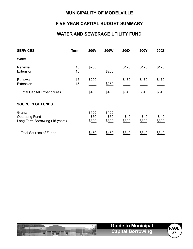### **MUNICIPALITY OF MODELVILLE**

# **FIVE-YEAR CAPITAL BUDGET SUMMARY**

### **WATER AND SEWERAGE UTILITY FUND**

| <b>SERVICES</b>                                                   | <b>Term</b> | <b>200V</b>            | <b>200W</b>            | 200X          | 200Y          | 200Z          |
|-------------------------------------------------------------------|-------------|------------------------|------------------------|---------------|---------------|---------------|
| Water                                                             |             |                        |                        |               |               |               |
| Renewal<br>Extension                                              | 15<br>15    | \$250                  | \$200                  | \$170         | \$170         | \$170         |
| Renewal<br>Extension                                              | 15<br>15    | \$200                  | \$250                  | \$170         | \$170         | \$170         |
| <b>Total Capital Expenditures</b>                                 |             | \$450                  | \$450                  | \$340         | \$340         | \$340         |
| <b>SOURCES OF FUNDS</b>                                           |             |                        |                        |               |               |               |
| Grants<br><b>Operating Fund</b><br>Long-Term Borrowing (15 years) |             | \$100<br>\$50<br>\$300 | \$100<br>\$50<br>\$300 | \$40<br>\$300 | \$40<br>\$300 | \$40<br>\$300 |
| <b>Total Sources of Funds</b>                                     |             | \$450                  | \$450                  | \$340         | \$340         | \$340         |

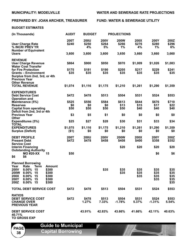### **PREPARED BY: JOAN ARCHER, TREASURER FUND: WATER & SEWERAGE UTILITY**

#### **BUDGET ESTIMATES**

| (In Thousands)                 |               | <b>AUDIT</b> | <b>BUDGET</b> |             | <b>PROJECTIONS</b> |         |             |         |
|--------------------------------|---------------|--------------|---------------|-------------|--------------------|---------|-------------|---------|
|                                |               | <b>200T</b>  | <b>200U</b>   | <b>200V</b> | <b>200W</b>        | 200X    | <b>200Y</b> | 200Z    |
| <b>User Charge Rate</b>        |               | \$240        | \$250         | \$264       | \$266              | \$276   | \$280       | \$296   |
| % INCR/ PREV YR                |               |              | 4%            | 5%          | 1%                 | 4%      | $1\%$       | 6%      |
|                                |               |              |               |             |                    |         |             |         |
| <b>Number of Equivalent</b>    |               |              |               |             |                    |         |             |         |
| <b>Users</b>                   |               | 3,600        | 3,600         | 3,600       | 3,650              | 3,660   | 3,660       | 3,660   |
| <b>REVENUE</b>                 |               |              |               |             |                    |         |             |         |
| <b>User Charge Revenue</b>     |               | \$864        | \$900         | \$950       | \$970              | \$1,009 | \$1,026     | \$1,083 |
| <b>Water Cost Transfer</b>     |               |              |               |             |                    |         |             |         |
| for Fire Protection            |               | \$175        | \$181         | \$190       | \$205              | \$217   | \$229       | \$241   |
| <b>Grants - Environment</b>    |               | \$35         | \$35          | \$35        | \$35               | \$35    | \$35        | \$35    |
|                                |               |              |               |             |                    |         |             |         |
| Surplus from 2nd, 3rd, or 4th  |               |              |               |             |                    |         |             |         |
| <b>Previous Year</b>           |               |              |               |             |                    |         |             |         |
| <b>Other Revenue</b>           |               |              |               |             |                    |         |             |         |
| <b>TOTAL REVENUE</b>           |               | \$1,074      | \$1,116       | \$1,175     | \$1,210            | \$1,261 | \$1,290     | \$1,359 |
| <b>EXPENDITURES</b>            |               |              |               |             |                    |         |             |         |
| <b>Debt Service Cost</b>       |               | \$472        | \$478         | \$513       | \$504              | \$531   | \$524       | \$553   |
| <b>Operation and</b>           |               |              |               |             |                    |         |             |         |
| Maintenance (5%)               |               | \$525        | \$556         | \$584       | \$613              | \$644   | \$676       | \$710   |
| <b>Reserves</b>                |               | \$0          |               |             | \$13               | \$15    | \$17        |         |
|                                |               |              | \$0           | \$0         |                    |         |             | \$22    |
| <b>Capital from operating</b>  |               | \$50         | \$50          | \$50        | \$50               | \$40    | \$40        | \$40    |
| Deficit from 2nd, 3rd or 4th   |               |              |               |             |                    |         |             |         |
| <b>Previous Year</b>           |               | \$3          | \$5           | \$1         | \$0                | \$0     | \$0         | \$0     |
| <b>Other</b>                   |               |              |               |             |                    |         |             |         |
| Expenditures (5%)              |               | \$25         | \$27          | \$28        | \$30               | \$31    | \$33        | \$34    |
| <b>TOTAL</b>                   |               |              |               |             |                    |         |             |         |
| <b>EXPENDITURES</b>            |               | \$1,075      | \$1,116       | \$1,175     | \$1,210            | \$1,261 | \$1,290     | \$1,359 |
| <b>Surplus (Deficit)</b>       |               | $($ \$1)     | \$0           | \$0         | \$0                | \$0     | \$0         | \$0     |
|                                |               |              |               |             |                    |         |             |         |
| <b>DEBT PROFILE</b>            |               | 200T         | <b>200U</b>   | <b>200V</b> | <b>200W</b>        | 200X    | 200Y        | 200Z    |
|                                |               |              |               |             |                    |         |             |         |
| <b>Present Debt</b>            |               | \$472        | \$478         | \$458       | \$408              | \$400   | \$358       | \$352   |
| <b>Service Cost</b>            |               |              |               |             |                    |         |             |         |
| <b>Interim Financing</b>       |               |              |               |             | \$20               | \$20    | \$20        | \$20    |
| <b>Outstanding Authority</b>   |               |              |               |             |                    |         |             |         |
| <b>MO #20-XX</b>               | 15            | \$50         |               |             |                    |         | \$6         | \$6     |
| \$6<br>\$6                     |               |              |               |             |                    |         |             |         |
| <b>Planned Borrowing</b>       |               |              |               |             |                    |         |             |         |
| Year<br>Rate<br><b>Term</b>    | <b>Amount</b> |              |               |             |                    |         |             |         |
|                                |               |              |               |             |                    |         |             |         |
| 200V<br>8.00%<br>15            | \$300         |              |               | \$35        | \$35               | \$35    | \$35        | \$35    |
| <b>200W</b><br>$8.00\%$<br>15  | \$300         |              |               |             | \$35               | \$35    | \$35        | \$35    |
| 8.00% 15<br>200X               | \$300         |              |               |             |                    | \$35    | \$35        | \$35    |
| 200Y<br>8.00% 15               | \$300         |              |               |             |                    |         | \$35        | \$35    |
| 200Z<br>8.00% 15               | \$300         |              |               |             |                    |         |             | \$35    |
| <b>TOTAL DEBT SERVICE COST</b> |               | \$472        | \$478         | \$513       | \$504              | \$531   | \$524       | \$553   |
|                                |               |              |               |             |                    |         |             |         |
| <b>RATIOS</b>                  |               |              |               |             |                    |         |             |         |
| <b>DEBT SERVICE COST</b>       |               | \$472        | \$478         | \$513       | \$504              | \$531   | \$524       | \$553   |
| <b>CHANGE OVER</b>             |               |              | 1.27%         | 7.33%       | $-1.78%$           | 5.37%   | $-1.31%$    | 5.54%   |
| <b>PREVIOUS YEAR</b>           |               |              |               |             |                    |         |             |         |
|                                |               |              |               |             |                    |         |             |         |
| <b>DEBT SERVICE COST</b>       |               |              | 43.91%        | 42.83%      | 43.66%             | 41.66%  | 42.11%      | 40.63%  |
| 40.71%<br>TO CDOCC EVD         |               |              |               |             |                    |         |             |         |

**TO GROSS EXP**

**PAGE 38**

**Guide to Municipal Capital Borrowing**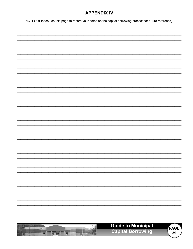### **APPENDIX IV**

NOTES: (Please use this page to record your notes on the capital borrowing process for future reference).



39

n

أيبينا

u